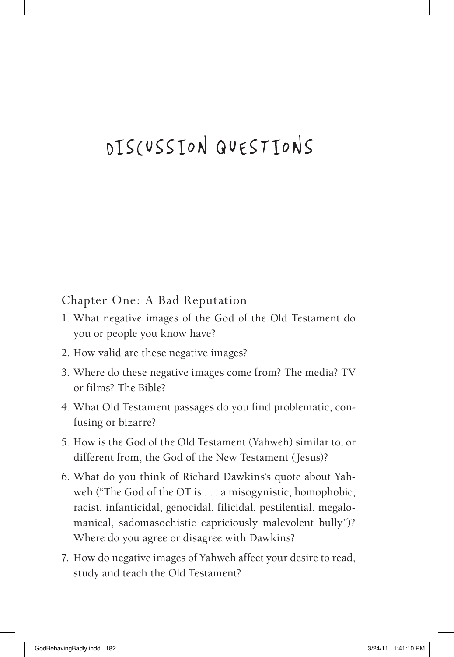# DISCUSSION QUESTIONS

#### Chapter One: A Bad Reputation

- 1. What negative images of the God of the Old Testament do you or people you know have?
- 2. How valid are these negative images?
- 3. Where do these negative images come from? The media? TV or films? The Bible?
- 4. What Old Testament passages do you find problematic, confusing or bizarre?
- 5. How is the God of the Old Testament (Yahweh) similar to, or different from, the God of the New Testament (Jesus)?
- 6. What do you think of Richard Dawkins's quote about Yahweh ("The God of the OT is . . . a misogynistic, homophobic, racist, infanticidal, genocidal, filicidal, pestilential, megalomanical, sadomasochistic capriciously malevolent bully")? Where do you agree or disagree with Dawkins?
- 7. How do negative images of Yahweh affect your desire to read, study and teach the Old Testament?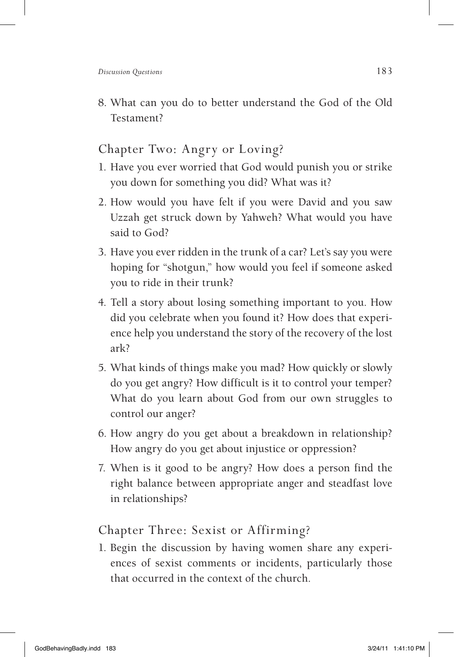8. What can you do to better understand the God of the Old Testament?

# Chapter Two: Angry or Loving?

- 1. Have you ever worried that God would punish you or strike you down for something you did? What was it?
- 2. How would you have felt if you were David and you saw Uzzah get struck down by Yahweh? What would you have said to God?
- 3. Have you ever ridden in the trunk of a car? Let's say you were hoping for "shotgun," how would you feel if someone asked you to ride in their trunk?
- 4. Tell a story about losing something important to you. How did you celebrate when you found it? How does that experience help you understand the story of the recovery of the lost ark?
- 5. What kinds of things make you mad? How quickly or slowly do you get angry? How difficult is it to control your temper? What do you learn about God from our own struggles to control our anger?
- 6. How angry do you get about a breakdown in relationship? How angry do you get about injustice or oppression?
- 7. When is it good to be angry? How does a person find the right balance between appropriate anger and steadfast love in relationships?

# Chapter Three: Sexist or Affirming?

1. Begin the discussion by having women share any experiences of sexist comments or incidents, particularly those that occurred in the context of the church.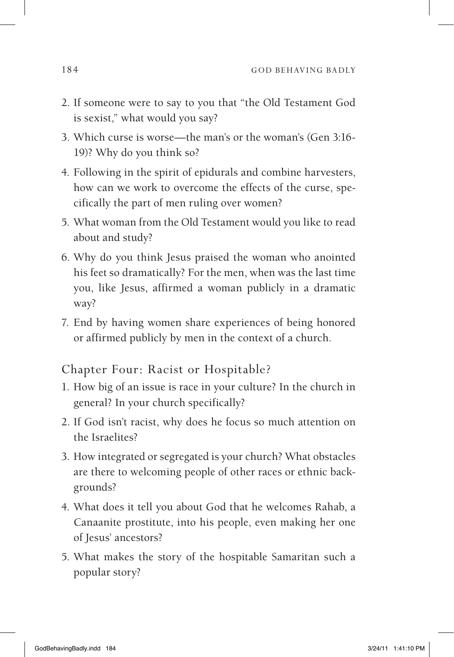- 2. If someone were to say to you that "the Old Testament God is sexist," what would you say?
- 3. Which curse is worse—the man's or the woman's (Gen 3:16- 19)? Why do you think so?
- 4. Following in the spirit of epidurals and combine harvesters, how can we work to overcome the effects of the curse, specifically the part of men ruling over women?
- 5. What woman from the Old Testament would you like to read about and study?
- 6. Why do you think Jesus praised the woman who anointed his feet so dramatically? For the men, when was the last time you, like Jesus, affirmed a woman publicly in a dramatic way?
- 7. End by having women share experiences of being honored or affirmed publicly by men in the context of a church.

#### Chapter Four: Racist or Hospitable?

- 1. How big of an issue is race in your culture? In the church in general? In your church specifically?
- 2. If God isn't racist, why does he focus so much attention on the Israelites?
- 3. How integrated or segregated is your church? What obstacles are there to welcoming people of other races or ethnic backgrounds?
- 4. What does it tell you about God that he welcomes Rahab, a Canaanite prostitute, into his people, even making her one of Jesus' ancestors?
- 5. What makes the story of the hospitable Samaritan such a popular story?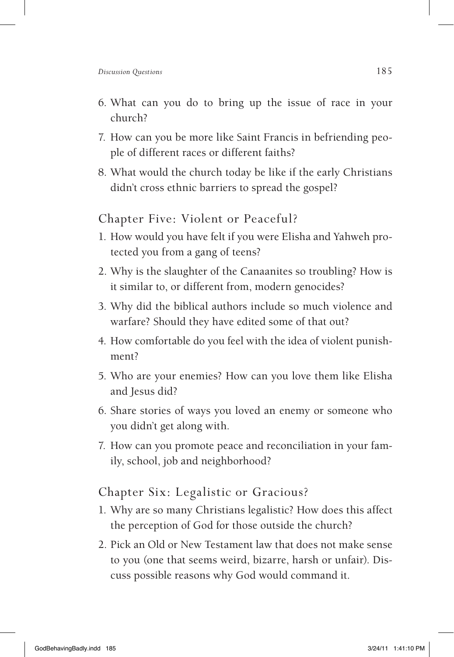- 6. What can you do to bring up the issue of race in your church?
- 7. How can you be more like Saint Francis in befriending people of different races or different faiths?
- 8. What would the church today be like if the early Christians didn't cross ethnic barriers to spread the gospel?

#### Chapter Five: Violent or Peaceful?

- 1. How would you have felt if you were Elisha and Yahweh protected you from a gang of teens?
- 2. Why is the slaughter of the Canaanites so troubling? How is it similar to, or different from, modern genocides?
- 3. Why did the biblical authors include so much violence and warfare? Should they have edited some of that out?
- 4. How comfortable do you feel with the idea of violent punishment?
- 5. Who are your enemies? How can you love them like Elisha and Jesus did?
- 6. Share stories of ways you loved an enemy or someone who you didn't get along with.
- 7. How can you promote peace and reconciliation in your family, school, job and neighborhood?

### Chapter Six: Legalistic or Gracious?

- 1. Why are so many Christians legalistic? How does this affect the perception of God for those outside the church?
- 2. Pick an Old or New Testament law that does not make sense to you (one that seems weird, bizarre, harsh or unfair). Discuss possible reasons why God would command it.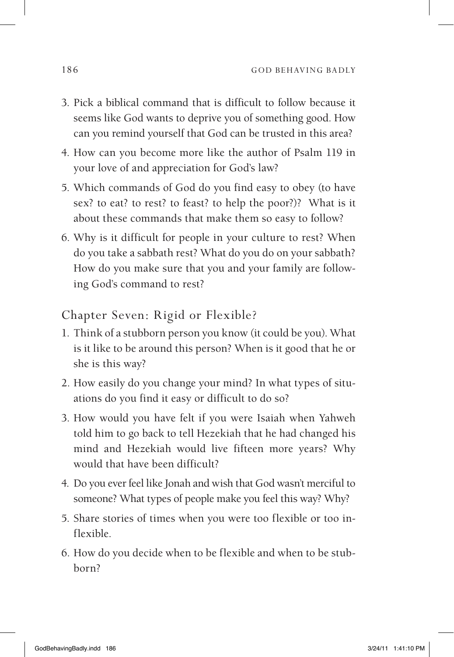- 3. Pick a biblical command that is difficult to follow because it seems like God wants to deprive you of something good. How can you remind yourself that God can be trusted in this area?
- 4. How can you become more like the author of Psalm 119 in your love of and appreciation for God's law?
- 5. Which commands of God do you find easy to obey (to have sex? to eat? to rest? to feast? to help the poor?)? What is it about these commands that make them so easy to follow?
- 6. Why is it difficult for people in your culture to rest? When do you take a sabbath rest? What do you do on your sabbath? How do you make sure that you and your family are following God's command to rest?

Chapter Seven: Rigid or Flexible?

- 1. Think of a stubborn person you know (it could be you). What is it like to be around this person? When is it good that he or she is this way?
- 2. How easily do you change your mind? In what types of situations do you find it easy or difficult to do so?
- 3. How would you have felt if you were Isaiah when Yahweh told him to go back to tell Hezekiah that he had changed his mind and Hezekiah would live fifteen more years? Why would that have been difficult?
- 4. Do you ever feel like Jonah and wish that God wasn't merciful to someone? What types of people make you feel this way? Why?
- 5. Share stories of times when you were too flexible or too inflexible.
- 6. How do you decide when to be flexible and when to be stubborn?